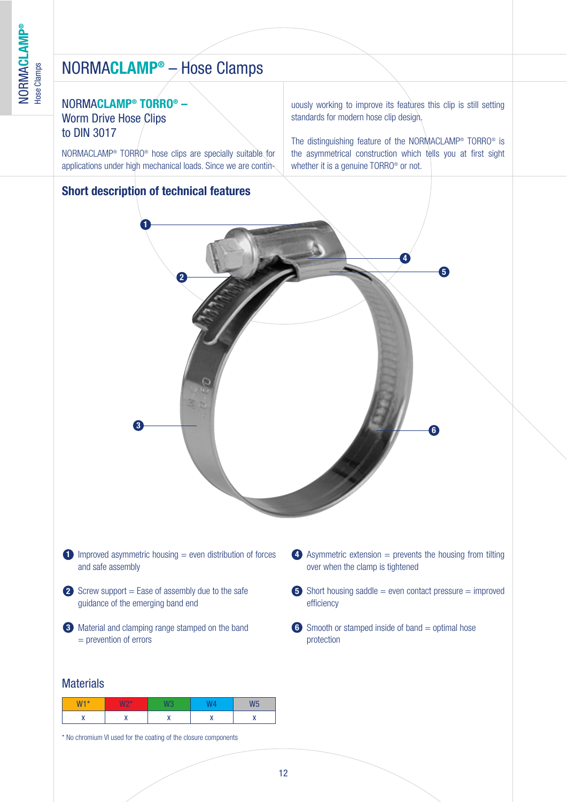### NORMA**CLAMP® TORRO® –** Worm Drive Hose Clips to DIN 3017

NORMACLAMP® TORRO® hose clips are specially suitable for applications under high mechanical loads. Since we are contin-

### **Short description of technical features**

uously working to improve its features this clip is still setting standards for modern hose clip design.

The distinguishing feature of the NORMACLAMP® TORRO® is the asymmetrical construction which tells you at first sight whether it is a genuine TORRO<sup>®</sup> or not.



#### **Materials**

| $W1*$ | MOX<br>. .<br>n |      | 1.10 |
|-------|-----------------|------|------|
|       | .,<br>          | <br> |      |

\* No chromium VI used for the coating of the closure components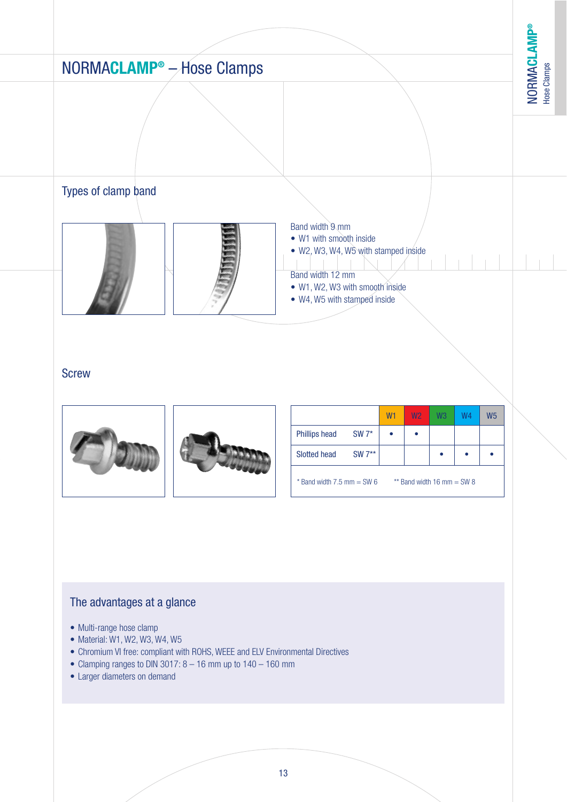# NORMA**CLAMP®** – Hose Clamps **Screw** W<sub>1</sub> W<sub>2</sub> W<sub>3</sub> W<sub>4</sub> W<sub>5</sub> Phillips head  $SW 7^*$  • • Types of clamp band Band width 9 mm • W1 with smooth inside • W2, W3, W4, W5 with stamped inside Band width 12 mm • W1, W2, W3 with smooth inside • W4, W5 with stamped inside

Slotted head SW 7\*\* • • •

 $*$  Band width 7.5 mm = SW 6  $*$   $*$  Band width 16 mm = SW 8

### The advantages at a glance

- Multi-range hose clamp
- Material: W1, W2, W3, W4, W5
- Chromium VI free: compliant with ROHS, WEEE and ELV Environmental Directives
- Clamping ranges to DIN 3017:  $8 16$  mm up to  $140 160$  mm
- Larger diameters on demand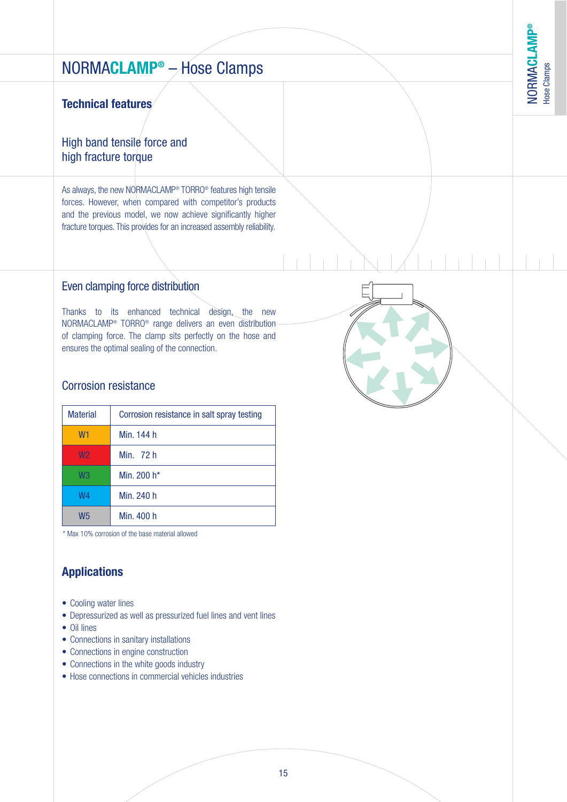### **Technical features**

### High band tensile force and high fracture torque

As always, the new NORMACLAMP® TORRO® features high tensile forces. However, when compared with competitor's products and the previous model, we now achieve significantly higher fracture torques. This provides for an increased assembly reliability.

#### Even clamping force distribution

Thanks to its enhanced technical design, the new NORMACLAMP® TORRO® range delivers an even distribution of clamping force. The clamp sits perfectly on the hose and ensures the optimal sealing of the connection.

### Corrosion resistance

| <b>Material</b> | Corrosion resistance in salt spray testing |
|-----------------|--------------------------------------------|
| W <sub>1</sub>  | Min. 144 h                                 |
| W <sub>2</sub>  | Min. 72 h                                  |
| W <sub>3</sub>  | Min. 200 h*                                |
| W4              | Min. 240 h                                 |
| W <sub>5</sub>  | Min. 400 h                                 |

\* Max 10% corrosion of the base material allowed

# **Applications**

- Cooling water lines
- Depressurized as well as pressurized fuel lines and vent lines
- Oil lines
- Connections in sanitary installations
- Connections in engine construction
- Connections in the white goods industry
- Hose connections in commercial vehicles industries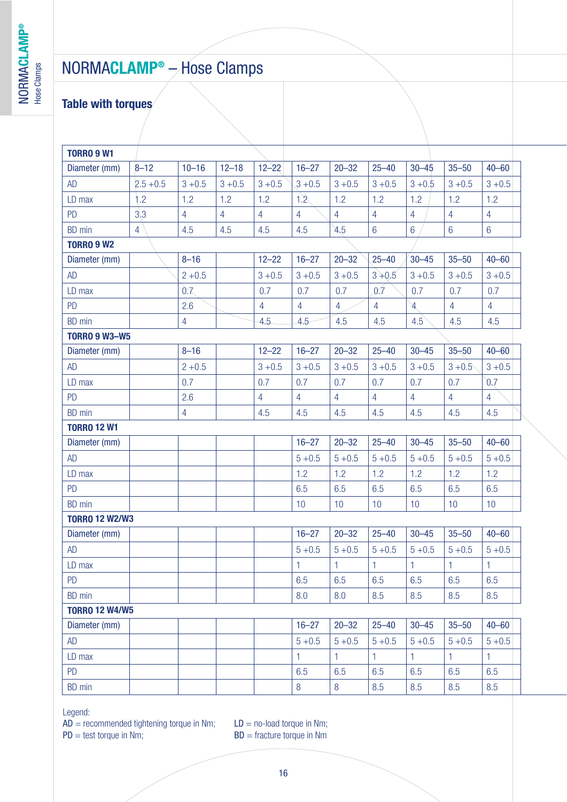# **Table with torques**

| <b>TORRO 9 W1</b>     |                |                |                |                |                |                |                 |                |                |                 |
|-----------------------|----------------|----------------|----------------|----------------|----------------|----------------|-----------------|----------------|----------------|-----------------|
| Diameter (mm)         | $8 - 12$       | $10 - 16$      | $12 - 18$      | $12 - 22$      | $16 - 27$      | $20 - 32$      | $25 - 40$       | $30 - 45$      | $35 - 50$      | $40 - 60$       |
| AD                    | $2.5 + 0.5$    | $3 + 0.5$      | $3 + 0.5$      | $3 + 0.5$      | $3 + 0.5$      | $3 + 0.5$      | $3 + 0.5$       | $3 + 0.5$      | $3 + 0.5$      | $3 + 0.5$       |
| LD max                | 1.2            | 1.2            | 1.2            | 1.2            | 1.2            | 1.2            | 1.2             | 1.2            | 1.2            | 1.2             |
| PD                    | 3 <sub>3</sub> | $\overline{4}$ | $\overline{4}$ | $\overline{4}$ | $\overline{4}$ | $\overline{4}$ | $\overline{4}$  | $\overline{4}$ | $\overline{4}$ | $\overline{4}$  |
| BD min                | $\overline{4}$ | 4.5            | 4.5            | 4.5            | 4.5            | 4.5            | $6\overline{6}$ | $6\phantom{a}$ | $6\phantom{1}$ | $6\phantom{1}6$ |
| <b>TORRO 9 W2</b>     |                |                |                |                |                |                |                 |                |                |                 |
| Diameter (mm)         |                | $8 - 16$       |                | $12 - 22$      | $16 - 27$      | $20 - 32$      | $25 - 40$       | $30 - 45$      | $35 - 50$      | $40 - 60$       |
| AD                    |                | $2 + 0.5$      |                | $3 + 0.5$      | $3 + 0.5$      | $3 + 0.5$      | $3 + 0.5$       | $3 + 0.5$      | $3 + 0.5$      | $3 + 0.5$       |
| LD max                |                | 0.7            |                | 0.7            | 0.7            | 0.7            | 0.7             | 0.7            | 0.7            | 0.7             |
| PD                    |                | 2.6            |                | $\overline{4}$ | $\overline{4}$ | $\overline{4}$ | $\overline{4}$  | $\mathbb A$    | $\overline{4}$ | $\overline{4}$  |
| <b>BD</b> min         |                | $\overline{4}$ |                | 4.5            | 4.5            | 4.5            | 4.5             | 4.5            | 4.5            | 4.5             |
| <b>TORRO 9 W3-W5</b>  |                |                |                |                |                |                |                 |                |                |                 |
| Diameter (mm)         |                | $8 - 16$       |                | $12 - 22$      | $16 - 27$      | $20 - 32$      | $25 - 40$       | $30 - 45$      | $35 - 50$      | $40 - 60$       |
| AD                    |                | $2 + 0.5$      |                | $3 + 0.5$      | $3 + 0.5$      | $3 + 0.5$      | $3 + 0.5$       | $3 + 0.5$      | $3 + 0.5$      | $3 + 0.5$       |
| LD max                |                | 0.7            |                | 0.7            | 0.7            | 0.7            | 0.7             | 0.7            | 0.7            | 0.7             |
| PD                    |                | 2.6            |                | $\overline{4}$ | $\overline{4}$ | $\overline{4}$ | $\overline{4}$  | $\overline{4}$ | $\overline{4}$ | $\overline{4}$  |
| BD min                |                | $\overline{4}$ |                | 4.5            | 4.5            | 4.5            | 4.5             | 4.5            | 4.5            | 4.5             |
| <b>TORRO 12 W1</b>    |                |                |                |                |                |                |                 |                |                |                 |
| Diameter (mm)         |                |                |                |                | $16 - 27$      | $20 - 32$      | $25 - 40$       | $30 - 45$      | $35 - 50$      | $40 - 60$       |
| AD                    |                |                |                |                | $5 + 0.5$      | $5 + 0.5$      | $5 + 0.5$       | $5 + 0.5$      | $5 + 0.5$      | $5 + 0.5$       |
| LD max                |                |                |                |                | 1.2            | 1.2            | 1.2             | 1.2            | 1.2            | 1.2             |
| PD                    |                |                |                |                | 6.5            | 6.5            | 6.5             | 6.5            | 6.5            | 6.5             |
| <b>BD</b> min         |                |                |                |                | 10             | 10             | 10              | 10             | 10             | 10              |
| <b>TORRO 12 W2/W3</b> |                |                |                |                |                |                |                 |                |                |                 |
| Diameter (mm)         |                |                |                |                | $16 - 27$      | $20 - 32$      | $25 - 40$       | $30 - 45$      | $35 - 50$      | $40 - 60$       |
| AD                    |                |                |                |                | $5 + 0.5$      | $5 + 0.5$      | $5 + 0.5$       | $5 + 0.5$      | $5 + 0.5$      | $5 + 0.5$       |
| LD max                |                |                |                |                | 1              | 1              | $\mathbf{1}$    | 1              | 1              | 1               |
| <b>PD</b>             |                |                |                |                | 6.5            | 6.5            | 6.5             | 6.5            | 6.5            | 6.5             |
| <b>BD</b> min         |                |                |                |                | 8.0            | 8.0            | 8.5             | 8.5            | 8.5            | 8.5             |
| <b>TORRO 12 W4/W5</b> |                |                |                |                |                |                |                 |                |                |                 |
| Diameter (mm)         |                |                |                |                | $16 - 27$      | $20 - 32$      | $25 - 40$       | $30 - 45$      | $35 - 50$      | $40 - 60$       |
| AD                    |                |                |                |                | $5 + 0.5$      | $5 + 0.5$      | $5 + 0.5$       | $5 + 0.5$      | $5 + 0.5$      | $5 + 0.5$       |
| LD max                |                |                |                |                | 1              | 1.             | $\mathbf{1}$    | 1              | 1.             | $\mathbf{1}$    |
| <b>PD</b>             |                |                |                |                | 6.5            | 6.5            | 6.5             | 6.5            | 6.5            | 6.5             |
| BD min                |                |                |                |                | $\bf 8$        | $\, 8$         | 8.5             | 8.5            | 8.5            | 8.5             |

Legend:

 $AD =$  recommended tightening torque in Nm;<br>  $PD =$  test torque in Nm;<br>  $BD =$  fracture torque in Nm;<br>  $BD =$  fracture torque in Nm

 $BD =$  fracture torque in Nm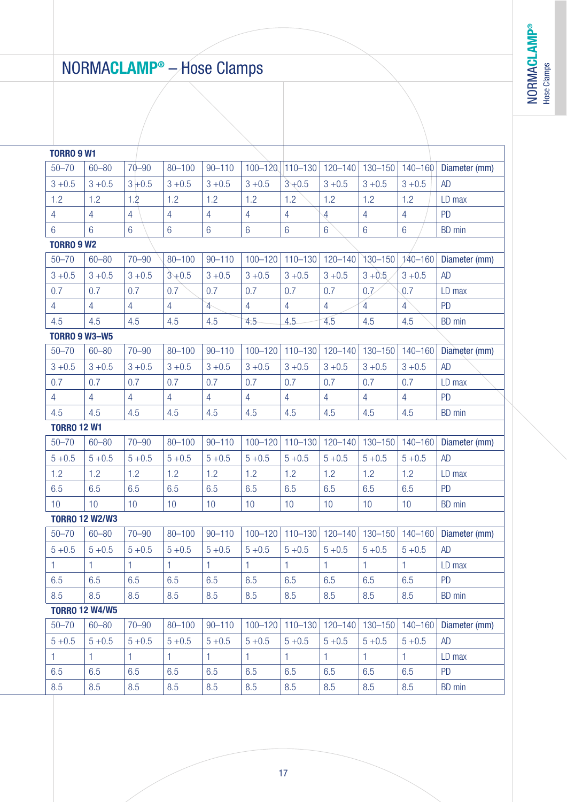**®**

# NORMA**CLAMP®** – Hose Clamps

| <b>TORRO 9 W1</b>     |                 |                 |                 |                 |                 |                |                 |                |                 |               |
|-----------------------|-----------------|-----------------|-----------------|-----------------|-----------------|----------------|-----------------|----------------|-----------------|---------------|
| $50 - 70$             | $60 - 80$       | $70 - 90$       | $80 - 100$      | $90 - 110$      | $100 - 120$     | $110 - 130$    | $120 - 140$     | $130 - 150$    | $140 - 160$     | Diameter (mm) |
| $3 + 0.5$             | $3 + 0.5$       | $3 + 0.5$       | $3 + 0.5$       | $3 + 0.5$       | $3 + 0.5$       | $3 + 0.5$      | $3 + 0.5$       | $3 + 0.5$      | $3 + 0.5$       | <b>AD</b>     |
| 1.2                   | 1.2             | 1.2             | 1.2             | 1.2             | 1.2             | 1.2            | 1.2             | 1.2            | 1.2             | LD max        |
| $\overline{4}$        | $\overline{4}$  | $\overline{4}$  | $\overline{4}$  | $\overline{4}$  | $\overline{4}$  | $\overline{4}$ | $\overline{4}$  | $\overline{4}$ | $\overline{4}$  | <b>PD</b>     |
| $6\phantom{.}6$       | $6\overline{6}$ | $6\phantom{.}6$ | $6\phantom{1}6$ | $6\phantom{a}$  | $6\phantom{a}$  | $6\phantom{a}$ | $6\phantom{.0}$ | $6\phantom{a}$ | $6\phantom{1}6$ | BD min        |
| <b>TORRO 9 W2</b>     |                 |                 |                 |                 |                 |                |                 |                |                 |               |
| $50 - 70$             | $60 - 80$       | $70 - 90$       | $80 - 100$      | $90 - 110$      | $100 - 120$     | $110 - 130$    | $120 - 140$     | 130-150        | $140 - 160$     | Diameter (mm) |
| $3 + 0.5$             | $3 + 0.5$       | $3 + 0.5$       | $3 + 0.5$       | $3 + 0.5$       | $3 + 0.5$       | $3 + 0.5$      | $3 + 0.5$       | $3 + 0.5$      | $3 + 0.5$       | <b>AD</b>     |
| 0.7                   | 0.7             | 0.7             | 0.7             | 0.7             | 0.7             | 0.7            | 0.7             | 0.7            | 0.7             | LD max        |
| $\overline{4}$        | $\overline{4}$  | $\overline{4}$  | $\overline{4}$  | $\overline{4}$  | $\overline{4}$  | $\overline{4}$ | $\overline{4}$  | $\overline{4}$ | $\overline{4}$  | <b>PD</b>     |
| 4.5                   | 4.5             | 4.5             | 4.5             | 4.5             | 4.5             | 4.5            | 4.5             | 4.5            | 4.5             | BD min        |
| <b>TORRO 9 W3-W5</b>  |                 |                 |                 |                 |                 |                |                 |                |                 |               |
| $50 - 70$             | $60 - 80$       | $70 - 90$       | $80 - 100$      | $90 - 110$      | $100 - 120$     | $110 - 130$    | $120 - 140$     | $130 - 150$    | $140 - 160$     | Diameter (mm) |
| $3 + 0.5$             | $3 + 0.5$       | $3 + 0.5$       | $3 + 0.5$       | $3 + 0.5$       | $3 + 0.5$       | $3 + 0.5$      | $3 + 0.5$       | $3 + 0.5$      | $3 + 0.5$       | AD            |
| 0.7                   | 0.7             | 0.7             | 0.7             | 0.7             | 0.7             | 0.7            | 0.7             | 0.7            | 0.7             | LD max        |
| $\overline{4}$        | $\overline{4}$  | $\overline{4}$  | $\overline{4}$  | $\overline{4}$  | $\overline{4}$  | $\overline{4}$ | $\overline{4}$  | $\overline{4}$ | $\overline{4}$  | <b>PD</b>     |
| 4.5                   | 4.5             | 4.5             | 4.5             | 4.5             | 4.5             | 4.5            | 4.5             | 4.5            | 4.5             | BD min        |
| <b>TORRO 12 W1</b>    |                 |                 |                 |                 |                 |                |                 |                |                 |               |
| $50 - 70$             | $60 - 80$       | $70 - 90$       | $80 - 100$      | $90 - 110$      | $100 - 120$     | $110 - 130$    | $120 - 140$     | $130 - 150$    | $140 - 160$     | Diameter (mm) |
| $5 + 0.5$             | $5 + 0.5$       | $5 + 0.5$       | $5 + 0.5$       | $5 + 0.5$       | $5 + 0.5$       | $5 + 0.5$      | $5 + 0.5$       | $5 + 0.5$      | $5 + 0.5$       | AD            |
| 1.2                   | 1.2             | 1.2             | 1.2             | 1.2             | 1.2             | 1.2            | 1.2             | 1.2            | 1.2             | LD max        |
| 6.5                   | 6.5             | 6.5             | 6.5             | 6.5             | 6.5             | 6.5            | 6.5             | 6.5            | 6.5             | <b>PD</b>     |
| 10 <sup>°</sup>       | 10 <sup>°</sup> | 10              | 10 <sup>°</sup> | 10 <sup>°</sup> | 10 <sup>°</sup> | 10             | 10              | 10             | 10              | BD min        |
| <b>TORRO 12 W2/W3</b> |                 |                 |                 |                 |                 |                |                 |                |                 |               |
| $50 - 70$             | $60 - 80$       | $70 - 90$       | $80 - 100$      | $90 - 110$      | $100 - 120$     | $110 - 130$    | $120 - 140$     | $130 - 150$    | 140-160         | Diameter (mm) |
| $5 + 0.5$             | $5 + 0.5$       | $5 + 0.5$       | $5 + 0.5$       | $5 + 0.5$       | $5 + 0.5$       | $5 + 0.5$      | $5 + 0.5$       | $5 + 0.5$      | $5 + 0.5$       | <b>AD</b>     |
| 1                     | 1               | $\mathbf{1}$    | $\mathbf{1}$    | 1               | $\mathbf{1}$    | $\mathbf{1}$   | $\mathbf{1}$    | 1              | $\mathbf{1}$    | LD max        |
| 6.5                   | 6.5             | 6.5             | 6.5             | 6.5             | 6.5             | 6.5            | 6.5             | 6.5            | 6.5             | PD            |
| 8.5                   | 8.5             | 8.5             | 8.5             | 8.5             | 8.5             | 8.5            | 8.5             | 8.5            | 8.5             | BD min        |
| <b>TORRO 12 W4/W5</b> |                 |                 |                 |                 |                 |                |                 |                |                 |               |
| $50 - 70$             | $60 - 80$       | $70 - 90$       | $80 - 100$      | $90 - 110$      | $100 - 120$     | $110 - 130$    | $120 - 140$     | $130 - 150$    | $140 - 160$     | Diameter (mm) |
| $5 + 0.5$             | $5 + 0.5$       | $5 + 0.5$       | $5 + 0.5$       | $5 + 0.5$       | $5 + 0.5$       | $5 + 0.5$      | $5 + 0.5$       | $5 + 0.5$      | $5 + 0.5$       | <b>AD</b>     |
| $\mathbf{1}$          | 1.              | 1.              | 1.              | 1.              | 1.              | 1.             | 1.              | 1              | 1.              | LD max        |
| 6.5                   | 6.5             | 6.5             | 6.5             | 6.5             | 6.5             | 6.5            | 6.5             | 6.5            | 6.5             | <b>PD</b>     |
| 8.5                   | 8.5             | 8.5             | 8.5             | 8.5             | 8.5             | 8.5            | 8.5             | 8.5            | 8.5             | BD min        |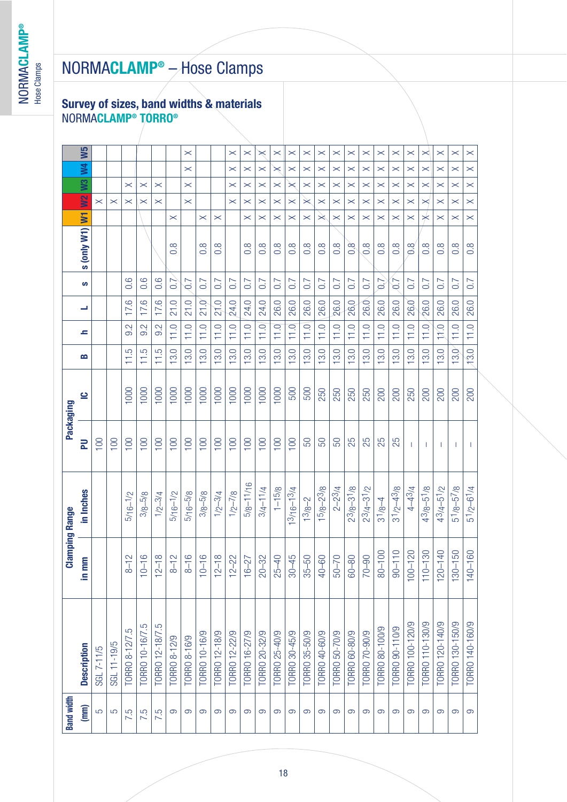### **Survey of sizes, band widths & materials** NORMA**CLAMP ® TORRO ®**

| <b>Band width</b> |                    | <b>Clamping Range</b> |                     | Packaging    |            |      |      |      |                  |                                 |                       |                       |                       |                       |                       |
|-------------------|--------------------|-----------------------|---------------------|--------------|------------|------|------|------|------------------|---------------------------------|-----------------------|-----------------------|-----------------------|-----------------------|-----------------------|
| (mm)              | <b>Description</b> | Ê<br>a<br>a           | in Inches           | 定            | <u>ِّب</u> | B    | s    | ┙    | ဖာ               | <b>S (ONly W1) W1 UVZ W3 W4</b> |                       |                       |                       |                       | W5                    |
| 5                 | SGL 7-11/5         |                       |                     | 100          |            |      |      |      |                  |                                 |                       | $\times$              |                       |                       |                       |
| 5                 | SGL 11-19/5        |                       |                     | 100          |            |      |      |      |                  |                                 |                       | $\times$              |                       |                       |                       |
| 7.5               | TORRO 8-12/7.5     | $8 - 12$              | $5/16 - 1/2$        | 100          | 1000       | 11.5 | 9.2  | 17.6 | 0.6              |                                 |                       | $\boldsymbol{\times}$ | $\times$              |                       |                       |
| 7.5               | TORRO 10-16/7.5    | $10 - 16$             | $3/8 - 5/8$         | 100          | 1000       | 11.5 | 9.2  | 17.6 | 0.6              |                                 |                       | $\boldsymbol{\times}$ | $\boldsymbol{\times}$ |                       |                       |
| 7.5               | TORRO 12-18/7.5    | $12 - 18$             | $1/2 - 3/4$         | 100          | 1000       | 11.5 | 9.2  | 17.6 | 0.6              |                                 |                       | $\boldsymbol{\times}$ | $\boldsymbol{\times}$ |                       |                       |
| တ                 | TORRO 8-12/9       | $8 - 12$              | $5/16 - 1/2$        | 100          | 1000       | 13.0 | 11.0 | 21.0 | 0.7              | $0.\overline{8}$                | $\boldsymbol{\times}$ |                       |                       |                       |                       |
| တ                 | TORRO 8-16/9       | $8 - 16$              | $5/16 - 5/8$        | 100          | 1000       | 13.0 | 11.0 | 21.0 | $\overline{0.7}$ |                                 |                       | $\times$              | $\times$              | $\times$              | $\times$              |
| တ                 | TORRO 10-16/9      | $10 - 16$             | $3/8 - 5/8$         | 100          | 1000       | 13.0 | 11.0 | 21.D | 0.7              | $0.\overline{8}$                | $\times$              |                       |                       |                       |                       |
| တ                 | TORRO 12-18/9      | $12 - 18$             | $1/2 - 3/4$         | 100          | 1000       | 13.0 | 11.0 | 21.0 | 0.7              | $\frac{8}{2}$                   | $\times$              |                       |                       |                       |                       |
| တ                 | TORRO 12-22/9      | $12 - 22$             | $1/2 - 7/8$         | 100          | 1000       | 13.0 | 11.0 | 24.0 | 0.7              |                                 |                       | $\boldsymbol{\times}$ | $\boldsymbol{\times}$ | $\boldsymbol{\times}$ | $\boldsymbol{\times}$ |
| တ                 | TORRO 16-27/9      | $16 - 27$             | $5/8 - 11/16$       | 100          | 1000       | 13.0 | 11.0 | 24.0 | 0.7              | $0.\overline{8}$                | $\boldsymbol{\times}$ | $\boldsymbol{\times}$ | $\boldsymbol{\times}$ | $\boldsymbol{\times}$ | $\times$              |
| တ                 | TORRO 20-32/9      | $20 - 32$             | $3/4 - 11/4$        | 100          | 1000       | 13.0 | 11.0 | 24.0 | 0.7              | $0.\overline{8}$                | $\boldsymbol{\times}$ | $\boldsymbol{\times}$ | $\times$              | $\boldsymbol{\times}$ | $\times$              |
| တ                 | TORRO 25-40/9      | $25 - 40$             | $1 - 15/8$          | 100          | 1000       | 13.0 | 11.0 | 26.0 | 0.7              | $0.\overline{8}$                | $\times$              | $\boldsymbol{\times}$ | $\times$              | $\asymp$              | $\boldsymbol{\times}$ |
| တ                 | TORRO 30-45/9      | $30 - 45$             | $3/16 - 13/4$       | 100          | 500        | 13.0 | 11.0 | 26.0 | 0.7              | $0.\overline{8}$                | $\boldsymbol{\times}$ | $\boldsymbol{\times}$ | $\times$              | $\boldsymbol{\times}$ | $\boldsymbol{\times}$ |
| တ                 | TORRO 35-50/9      | 50<br>$35 -$          | $13/8 - 2$          | 50           | 500        | 13.0 | 11.0 | 26.0 | 0.7              | $0.\overline{8}$                | $\times$              | $\times$              | $\boldsymbol{\times}$ | $\boldsymbol{\times}$ | $\asymp$              |
| တ                 | TORRO 40-60/9      | 40-60                 | $15/8 - 23/8$       | 50           | 250        | 13.0 | 11.0 | 26.0 | 0.7              | $\frac{8}{2}$                   | $\!\times\!$          | $\boldsymbol{\times}$ | $\boldsymbol{\times}$ | $\times$              | $\boldsymbol{\times}$ |
| တ                 | TORRO 50-70/9      | $50 - 70$             | $2 - 23/4$          | 50           | 250        | 13.0 | 11.0 | 26.0 | 0.7              | $\frac{8}{2}$                   | $\boldsymbol{\times}$ | $\boldsymbol{\times}$ | $\boldsymbol{\times}$ | $\boldsymbol{\times}$ | $\boldsymbol{\times}$ |
| တ                 | TORRO 60-80/9      | $60 - 80$             | $23/8 - 31/8$       | 25           | 250        | 13.0 | 11.0 | 26.0 | 0.7              | $\frac{8}{2}$                   | $\times$              | $\boldsymbol{\times}$ | $\boldsymbol{\times}$ | $\boldsymbol{\times}$ | $\boldsymbol{\times}$ |
| တ                 | TORRO 70-90/9      | 90<br>$\overline{5}$  | $2^{3}/4 - 3^{1}/2$ | 25           | 250        | 13.0 | 11.0 | 26.0 | 0.7              | $\frac{8}{2}$                   | $\times$              | $\boldsymbol{\times}$ | $\boldsymbol{\times}$ | $\times$              | $\boldsymbol{\times}$ |
| တ                 | TORRO 80-100/9     | $80 - 100$            | $3^{1}/8 - 4$       | 25           | 200        | 13.0 | 11.0 | 26.0 | $\overline{0.7}$ | $0.\overline{8}$                | $\boldsymbol{\times}$ | $\boldsymbol{\times}$ | $\times$              | $\boldsymbol{\times}$ | $\boldsymbol{\times}$ |
| တ                 | TORRO 90-110/9     | $90 - 110$            | $31/2 - 43/8$       | 25           | 200        | 13.0 | 11.0 | 26.0 | 0.7              | $0.\overline{8}$                | $\times$              | $\boldsymbol{\times}$ | $\times$              | $\boldsymbol{\times}$ | $\boldsymbol{\times}$ |
| တ                 | TORRO 100-120/9    | $100 - 120$           | $4 - 43/4$          |              | 250        | 13.0 | 11.0 | 26,0 | 0.7              | $\frac{8}{6}$                   | $\times$              | $\times$              | $\times$              | $\times$              | $\boldsymbol{\times}$ |
| တ                 | TORRO 110-130/9    | $110 - 130$           | $43/8 - 51/8$       | 1            | 200        | 13.0 | 11.0 | 26.0 | 0.7              | $\frac{8}{2}$                   | $\star$               | $\boldsymbol{\times}$ | $\times$              | $\boldsymbol{\times}$ | $\boldsymbol{\times}$ |
| တ                 | TORRO 120-140/9    | $120 - 140$           | $43/4 - 51/2$       | T            | 200        | 13.0 | 11,0 | 26.0 | 0.7              | $\frac{8}{2}$                   | $\times$              | $\boldsymbol{\times}$ | $\boldsymbol{\times}$ | $\boldsymbol{\times}$ | $\boldsymbol{\times}$ |
| တ                 | TORRO 130-150/9    | $130 - 150$           | $51/8 - 57/8$       | -1           | 200        | 13.0 | 11.0 | 26.0 | 0.7              | $\frac{8}{2}$                   | $\boldsymbol{\times}$ | $\boldsymbol{\times}$ | $\boldsymbol{\times}$ | $\boldsymbol{\times}$ | $\boldsymbol{\times}$ |
| $\Theta$          | TORRO 140-160/9    | $140 - 160$           | $51/2 - 61/4$       | $\mathbf{I}$ | 200        | 13.0 | 11.0 | 26.0 | 0.7              | $0.\overline{8}$                | $\times$              | $\times$              | $\times$              | $\times$              | $\times$              |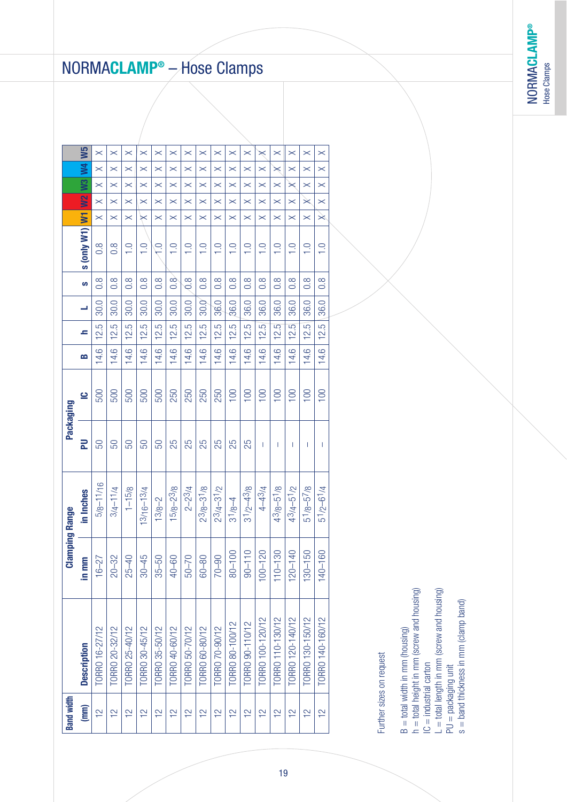**NORMACLAMP®** NORMA**CLAMP®** Hose Clamps Hose Clamps

# NORMA**CLAMP ®** – Hose Clamps

| <b>Band width</b> |                    | <b>Clamping Range</b>       |                     |    | Packaging |      |      |      |                  |                        |                       |                       |                       |                       |                       |  |
|-------------------|--------------------|-----------------------------|---------------------|----|-----------|------|------|------|------------------|------------------------|-----------------------|-----------------------|-----------------------|-----------------------|-----------------------|--|
| (mm)              | <b>Description</b> | in mm                       | in Inches           | 군  | <u>ي</u>  | B    | s    |      | ဖာ               | <b>EMI (LM Aluo)</b> s |                       | <b>SAR</b>            | $W_3$                 | $\geq$                | W5                    |  |
| $\frac{2}{1}$     | TORRO 16-27/12     | $16 - 27$                   | $5/8 - 11/16$       | 50 | 500       | 14.6 | 12.5 | 30.0 | $\frac{8}{2}$    | $\frac{8}{2}$          | $\boldsymbol{\times}$ | $\boldsymbol{\times}$ | $\boldsymbol{\times}$ | $\boldsymbol{\times}$ | $\boldsymbol{\times}$ |  |
| $\frac{2}{1}$     | TORRO 20-32/12     | Ņ<br>$20 - 3$               | $3/4 - 1/4$         | 50 | 500       | 14.6 | 12.5 | 30.0 | $\frac{8}{2}$    | $\frac{8}{2}$          | $\times$              | $\boldsymbol{\times}$ | $\boldsymbol{\times}$ | $\boldsymbol{\times}$ | $\boldsymbol{\times}$ |  |
| $\frac{2}{1}$     | TORRO 25-40/12     | $25 - 40$                   | $1 - 15/8$          | 50 | 500       | 14.6 | 12.5 | 30.0 | $\frac{8}{2}$    | $\frac{1}{1}$          | $\times$              | $\boldsymbol{\times}$ | $\boldsymbol{\times}$ | $\boldsymbol{\times}$ | $\boldsymbol{\times}$ |  |
| $\frac{2}{1}$     | TORRO 30-45/12     | $30 - 45$                   | $13/16 - 13/4$      | 50 | 500       | 14.6 | 12.5 | 30.0 | $\frac{8}{2}$    | $\frac{1}{1}$          | $\Join$               | $\boldsymbol{\times}$ | $\boldsymbol{\times}$ | $\boldsymbol{\times}$ | $\boldsymbol{\times}$ |  |
| $\frac{2}{1}$     | TORRO 35-50/12     | $35 - 50$                   | $13/8 - 2$          | 50 | 500       | 14.6 | 12.5 | 30.0 | $\frac{8}{2}$    | $\overline{C}$         | $\times$              | $\boldsymbol{\times}$ | $\boldsymbol{\times}$ | $\boldsymbol{\times}$ | $\boldsymbol{\times}$ |  |
| $\frac{2}{1}$     | TORRO 40-60/12     | $40 - 60$                   | $15/8 - 23/8$       | 25 | 250       | 14.6 | 12.5 | 30.0 | $\frac{8}{2}$    | $\frac{0}{1}$          | $\times$              | $\times$              | $\boldsymbol{\times}$ | $\boldsymbol{\times}$ | $\times$              |  |
| $\frac{2}{1}$     | TORRO 50-70/12     | $50 - 70$                   | $2 - 23/4$          | 25 | 250       | 14.6 | 12.5 | 30.0 | $\frac{8}{2}$    | $\frac{0}{1}$          | $\boldsymbol{\times}$ | $\boldsymbol{\times}$ | $\boldsymbol{\times}$ | $\boldsymbol{\times}$ | $\boldsymbol{\times}$ |  |
| $\frac{2}{1}$     | TORRO 60-80/12     | $60 - 80$                   | $2^{3}/8 - 3^{1}/8$ | 25 | 250       | 14.6 | 12.5 | 30.0 | $\frac{8}{2}$    | $\frac{1}{1}$          | $\boldsymbol{\times}$ | $\boldsymbol{\times}$ | $\boldsymbol{\times}$ | $\boldsymbol{\times}$ | $\boldsymbol{\times}$ |  |
| $\frac{2}{1}$     | TORRO 70-90/12     | $70 - 90$                   | $2^{3}/4 - 3^{1}/2$ | 25 | 250       | 14.6 | 12.5 | 36.0 | $\frac{8}{2}$    | $\frac{0}{1}$          | $\times$              | $\boldsymbol{\times}$ | $\boldsymbol{\times}$ | $\times$              | $\times$              |  |
| $\frac{2}{1}$     | TORRO 80-100/12    | $80 - 100$                  | $31/8 - 4$          | 25 | 100       | 14.6 | 12.5 | 36.0 | $\frac{8}{2}$    | $\frac{0}{1}$          | $\boldsymbol{\times}$ | $\boldsymbol{\times}$ | $\boldsymbol{\times}$ | $\times$              | $\boldsymbol{\times}$ |  |
| $\frac{2}{1}$     | TORRO 90-110/12    | $90 - 110$                  | $31/2 - 43/8$       | 25 | 100       | 14.6 | 12.5 | 36.0 | $0.\overline{8}$ | $\frac{0}{1}$          | $\times$              | $\boldsymbol{\times}$ | $\boldsymbol{\times}$ | $\boldsymbol{\times}$ | $\times$              |  |
| $\frac{2}{1}$     | TORRO 100-120/12   | 20<br>$100 - 12$            | $4 - 43/4$          | T  | 100       | 14.6 | 12.5 | 36.0 | $\frac{8}{2}$    | $\frac{0}{1}$          | $\boldsymbol{\times}$ | $\times$              | $\boldsymbol{\times}$ | $\boldsymbol{\times}$ | $\times$              |  |
| $\frac{2}{1}$     | TORRO 110-130/12   | $\infty$<br>$110 - 13$      | $43/8 - 51/8$       | T  | 100       | 14.6 | 12.5 | 36.0 | $\frac{8}{2}$    | $\frac{0}{1}$          | $\boldsymbol{\times}$ | $\boldsymbol{\times}$ | $\boldsymbol{\times}$ | $\boldsymbol{\times}$ | $\times$              |  |
| $\overline{2}$    | TORRO 120-140/12   | $\overline{4}$<br>$120 - 1$ | $43/4 - 51/2$       | T  | 100       | 14.6 | 12.5 | 36.0 | $0.\overline{8}$ | $\frac{0}{1}$          | $\times$              | $\boldsymbol{\times}$ | $\times$              | $\times$              | $\boldsymbol{\times}$ |  |
| $\frac{2}{1}$     | TORRO 130-150/12   | 50<br>$130 - 1!$            | $51/8 - 57/8$       | L  | 100       | 14.6 | 12.5 | 36.0 | $\frac{8}{2}$    | $\frac{1}{1}$          | $\times$              | $\times$              | $\boldsymbol{\times}$ | $\times$              | $\boldsymbol{\times}$ |  |
| $\frac{2}{1}$     | TORRO 140-160/12   | 60<br>$140 - 1$             | $51/2 - 61/4$       | T  | 100       | 14.6 | 12.5 | 36.0 | $0.\overline{8}$ | $\frac{0}{1}$          | $\Join$               | $\times$              | $\boldsymbol{\times}$ | $\boldsymbol{\times}$ | $\boldsymbol{\times}$ |  |
|                   |                    |                             |                     |    |           |      |      |      |                  |                        |                       |                       |                       |                       |                       |  |

Further sizes on request Further sizes on request

B = total width in mm (housing)<br>h = total height in mm (screw and housing) B = total width in mm (housing)

h = total height in mm (screw and housing)

IC = industrial carton<br>L = total length in mm (screw and housing) IC = industrial carton

 $L =$  total length in mm (screw and housing)

 $PU =$  packaging unit<br>s = band thickness in mm (clamp band) s = band thickness in mm (clamp band) PU = packaging unit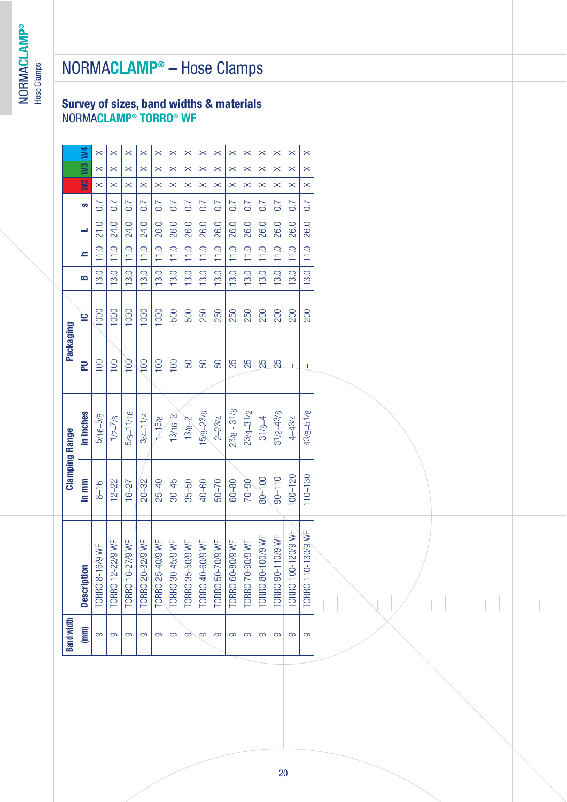### **Survey of sizes, band widths & materials** NORMA**CLAMP® TORRO® WF**

|                       | 2<br>B                 | 21.0<br>11.0<br>13.0 | 24.0<br>11.0<br>13.0 | 24.0<br>11.0<br>13.0 | 24.0<br>11.0<br>13.0 | 26.0<br>11.0<br>13.0 | 26.0<br>11.0<br>13.0   | 26.0<br>11.0<br>13.0   | 26.0<br>11.0<br>13.0   | 26.0<br>11.0<br>13.0 | 26.0<br>11.0<br>13.0 | 26.0<br>11.0<br>13.0 | 26.0<br>11.0<br>13.0 | 26.0<br>11.0<br>13.0 | 26.0<br>11.0<br>13.0 | 26.0<br>11.0<br>13.0         |  |
|-----------------------|------------------------|----------------------|----------------------|----------------------|----------------------|----------------------|------------------------|------------------------|------------------------|----------------------|----------------------|----------------------|----------------------|----------------------|----------------------|------------------------------|--|
|                       | <u>ف</u>               | 1000                 | 1000                 | 1000                 | 1000                 | 1000                 | 500                    | 500                    | 250                    | 250                  | 250                  | 250                  | 200                  | 200                  | 200                  | 200                          |  |
| Packaging             | $\overline{a}$         | 100                  | 100                  | 100                  | 100                  | 100                  | 100                    | 50                     | 50                     | 50                   | 25                   | 25                   | 25                   | 25                   | -1                   | $\overline{\phantom{a}}$     |  |
|                       | in Inches              | $5/16 - 5/8$         | $1/2 - 7/8$          | $5/8 - 11/16$        | $3/4 - 11/4$         | $1 - 5/8$            | $13/16 - 2$            | $13/8 - 2$             | 15/8-23/8              | $2 - 23/4$           | $23/8 - 31/8$        | $23/4 - 31/2$        | $31/8 - 4$           | $31/2 - 43/8$        | $4 - 43/4$           | $43/8 - 51/8$                |  |
| <b>Clamping Range</b> | in mm                  | $8 - 16$             | $12 - 22$            | $16 - 27$            | $20 - 32$            | $25 - 40$            | $30 - 45$              | $35 - 50$              | $40 - 60$              | $50 - 70$            | $60 - 80$            | $06 - 07$            | $80 - 100$           | $90 - 110$           | $100 - 120$          | $110 - 130$                  |  |
|                       | <b>Description</b>     | 16/9WF<br>TORRO 8-   | TORRO 12-22/9 WF     | TORRO 16-27/9 WF     | TORRO 20-32/9 WF     | TORRO 25-40/9 WF     | $-45/9$ WF<br>TORRO 30 | $-50/9$ WF<br>TORRO 35 | $-60/9$ WF<br>TORRO 40 | TORRO 50-70/9 WF     | TORRO 60-80/9 WF     | TORRO 70-90/9 WF     | TORRO 80-100/9 WF    | TORRO 90-110/9 WF    | TORRO 100-120/9 WF   | 0-130/9WF<br><b>TORRO 11</b> |  |
| <b>Band width</b>     | $\widehat{\mathbb{E}}$ | 9                    | တ                    | တ                    | ၜ                    | $\sigma$             | တ                      | တ                      | တ                      | တ                    | တ                    | $\sigma$             | တ                    | တ                    | တ                    | တ                            |  |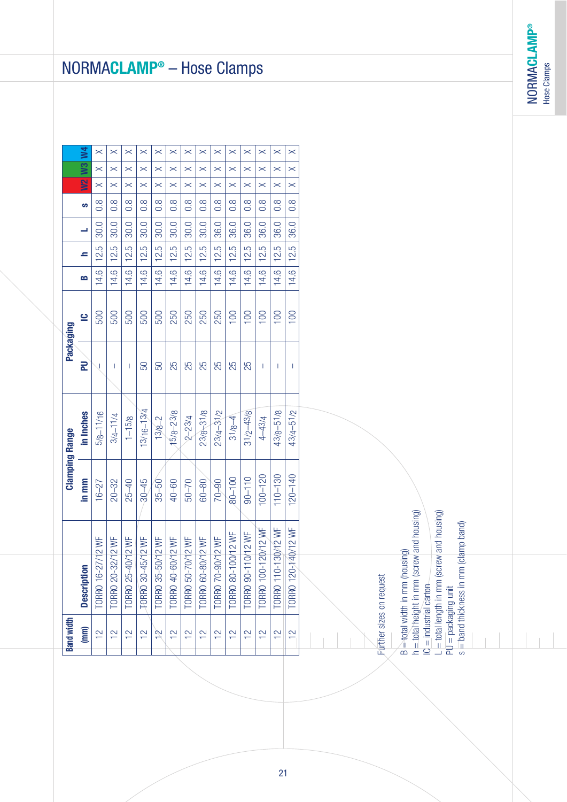**NORMACLAMP<sup>®</sup>** NORMA**CLAMP®** Hose Clamps

# NORMA**CLAMP ®** – Hose Clamps

| $\overline{\mathbf{M}}$<br>$\boldsymbol{\times}$<br>$\boldsymbol{\times}$<br>$\times$<br>$\boldsymbol{\times}$<br>$\pmb{\times}$<br>$\boldsymbol{\times}$<br>$\boldsymbol{\times}$<br>$\boldsymbol{\times}$<br>$\times$<br>$\boldsymbol{\times}$<br>$\times$<br>$\boldsymbol{\times}$<br>$\times$<br>$\boldsymbol{\times}$<br><b>M2 W3</b><br>$\boldsymbol{\times}$<br>$\boldsymbol{\times}$<br>$\boldsymbol{\times}$<br>$\times$<br>$\boldsymbol{\times}$<br>$\boldsymbol{\times}$<br>$\boldsymbol{\times}$<br>$\times$<br>$\boldsymbol{\times}$<br>$\times$<br>$\boldsymbol{\times}$<br>$\times$<br>$\boldsymbol{\times}$<br>$\boldsymbol{\times}$<br>$\boldsymbol{\times}$<br>$\boldsymbol{\times}$<br>$\boldsymbol{\times}$<br>$\times$<br>$\boldsymbol{\times}$<br>$\boldsymbol{\times}$<br>$\boldsymbol{\times}$<br>$\boldsymbol{\times}$<br>$\boldsymbol{\times}$<br>$\boldsymbol{\times}$<br>$\times$<br>$\boldsymbol{\times}$<br>$\boldsymbol{\times}$<br>$\boldsymbol{\times}$<br>$0.\overline{8}$<br>$0.\overline{8}$<br>$0.\overline{8}$<br>$0.\overline{8}$<br>$0.\overline{8}$<br>$0.\overline{8}$<br>$0.\overline{8}$<br>$0.\overline{8}$<br>$0.\overline{8}$<br>$0.\overline{8}$<br>$\frac{8}{2}$<br>$0.\overline{8}$<br>$\frac{8}{2}$<br>$0.\overline{8}$<br>ဖာ<br>30.0<br>30.0<br>30.0<br>30.0<br>30.0<br>36.0<br>36.0<br>36.0<br>36.0<br>36.0<br>30.0<br>30.0<br>36.0<br>30.0<br>12.5<br>12.5<br>12.5<br>12.5<br>12.5<br>12.5<br>12.5<br>12.5<br>12.5<br>12.5<br>12.5<br>12.5<br>12.5<br>12.5<br>2<br>14.6<br>14.6<br>14.6<br>14.6<br>14.6<br>14.6<br>14.6<br>14.6<br>14.6<br>14.6<br>14.6<br>14.6<br>14.6<br>14.6<br>B<br>100<br>100<br>100<br>100<br>500<br>500<br>500<br>500<br>500<br>250<br>250<br>250<br>250<br>100<br><u>پ</u><br>$\mathbf{R}$<br>25<br>25<br>25<br>25<br>25<br>50<br>25<br>50<br>-1<br>-1<br>√<br>J.<br>$13/16 - 13/4$<br>$43/8 - 51/8$<br>$31/2 - 43/8$<br>$43/4 - 51/2$<br>15/8-23/8<br>$23/8 + 31/8$<br>$23/4 - 3/2$<br>$5/8 - 11/16$<br>in Inches<br>$3/4 - 11/4$<br>$2 - 23/4$<br>$1 - 15/8$<br>$31/8 - 4$<br>4-43/4<br>$13/8 - 2$<br>$110 - 130$<br>$100 - 120$<br>$120 - 140$<br>$90 - 110$<br>$80 - 100$<br>in mm<br>$25 - 40$<br>$30 - 45$<br>$50 - 70$<br>$70 - 90$<br>$20 - 32$<br>$40 - 60$<br>$35 - 50$<br>$60 - 80$<br>$16 - 27$<br>ew and housing)<br>ew and housing)<br>(clamp band) |                                                                                                                                                                                                                                                 |  | <b>Clamping Range</b> | Packaging |  |  |  |  |
|-------------------------------------------------------------------------------------------------------------------------------------------------------------------------------------------------------------------------------------------------------------------------------------------------------------------------------------------------------------------------------------------------------------------------------------------------------------------------------------------------------------------------------------------------------------------------------------------------------------------------------------------------------------------------------------------------------------------------------------------------------------------------------------------------------------------------------------------------------------------------------------------------------------------------------------------------------------------------------------------------------------------------------------------------------------------------------------------------------------------------------------------------------------------------------------------------------------------------------------------------------------------------------------------------------------------------------------------------------------------------------------------------------------------------------------------------------------------------------------------------------------------------------------------------------------------------------------------------------------------------------------------------------------------------------------------------------------------------------------------------------------------------------------------------------------------------------------------------------------------------------------------------------------------------------------------------------------------------------------------------------------------------------------------------------------------------------------------------------------------------------------------------------------------------------------------------------------------------------------------------------------------------------------------------------------------------------------------------|-------------------------------------------------------------------------------------------------------------------------------------------------------------------------------------------------------------------------------------------------|--|-----------------------|-----------|--|--|--|--|
|                                                                                                                                                                                                                                                                                                                                                                                                                                                                                                                                                                                                                                                                                                                                                                                                                                                                                                                                                                                                                                                                                                                                                                                                                                                                                                                                                                                                                                                                                                                                                                                                                                                                                                                                                                                                                                                                                                                                                                                                                                                                                                                                                                                                                                                                                                                                                 | <b>Description</b>                                                                                                                                                                                                                              |  |                       |           |  |  |  |  |
|                                                                                                                                                                                                                                                                                                                                                                                                                                                                                                                                                                                                                                                                                                                                                                                                                                                                                                                                                                                                                                                                                                                                                                                                                                                                                                                                                                                                                                                                                                                                                                                                                                                                                                                                                                                                                                                                                                                                                                                                                                                                                                                                                                                                                                                                                                                                                 | TORRO 16-27/12 WF                                                                                                                                                                                                                               |  |                       |           |  |  |  |  |
|                                                                                                                                                                                                                                                                                                                                                                                                                                                                                                                                                                                                                                                                                                                                                                                                                                                                                                                                                                                                                                                                                                                                                                                                                                                                                                                                                                                                                                                                                                                                                                                                                                                                                                                                                                                                                                                                                                                                                                                                                                                                                                                                                                                                                                                                                                                                                 | TORRO 20-32/12 WF                                                                                                                                                                                                                               |  |                       |           |  |  |  |  |
|                                                                                                                                                                                                                                                                                                                                                                                                                                                                                                                                                                                                                                                                                                                                                                                                                                                                                                                                                                                                                                                                                                                                                                                                                                                                                                                                                                                                                                                                                                                                                                                                                                                                                                                                                                                                                                                                                                                                                                                                                                                                                                                                                                                                                                                                                                                                                 | TORRO 25-40/12 WF                                                                                                                                                                                                                               |  |                       |           |  |  |  |  |
|                                                                                                                                                                                                                                                                                                                                                                                                                                                                                                                                                                                                                                                                                                                                                                                                                                                                                                                                                                                                                                                                                                                                                                                                                                                                                                                                                                                                                                                                                                                                                                                                                                                                                                                                                                                                                                                                                                                                                                                                                                                                                                                                                                                                                                                                                                                                                 | TORRO 30-45/12 WF                                                                                                                                                                                                                               |  |                       |           |  |  |  |  |
|                                                                                                                                                                                                                                                                                                                                                                                                                                                                                                                                                                                                                                                                                                                                                                                                                                                                                                                                                                                                                                                                                                                                                                                                                                                                                                                                                                                                                                                                                                                                                                                                                                                                                                                                                                                                                                                                                                                                                                                                                                                                                                                                                                                                                                                                                                                                                 | TORRO 35-50/12 WF                                                                                                                                                                                                                               |  |                       |           |  |  |  |  |
|                                                                                                                                                                                                                                                                                                                                                                                                                                                                                                                                                                                                                                                                                                                                                                                                                                                                                                                                                                                                                                                                                                                                                                                                                                                                                                                                                                                                                                                                                                                                                                                                                                                                                                                                                                                                                                                                                                                                                                                                                                                                                                                                                                                                                                                                                                                                                 | TORRO 40-60/12 WF                                                                                                                                                                                                                               |  |                       |           |  |  |  |  |
|                                                                                                                                                                                                                                                                                                                                                                                                                                                                                                                                                                                                                                                                                                                                                                                                                                                                                                                                                                                                                                                                                                                                                                                                                                                                                                                                                                                                                                                                                                                                                                                                                                                                                                                                                                                                                                                                                                                                                                                                                                                                                                                                                                                                                                                                                                                                                 | TORRO 50-70/12 WF                                                                                                                                                                                                                               |  |                       |           |  |  |  |  |
|                                                                                                                                                                                                                                                                                                                                                                                                                                                                                                                                                                                                                                                                                                                                                                                                                                                                                                                                                                                                                                                                                                                                                                                                                                                                                                                                                                                                                                                                                                                                                                                                                                                                                                                                                                                                                                                                                                                                                                                                                                                                                                                                                                                                                                                                                                                                                 | TORRO 60-80/12 WF                                                                                                                                                                                                                               |  |                       |           |  |  |  |  |
|                                                                                                                                                                                                                                                                                                                                                                                                                                                                                                                                                                                                                                                                                                                                                                                                                                                                                                                                                                                                                                                                                                                                                                                                                                                                                                                                                                                                                                                                                                                                                                                                                                                                                                                                                                                                                                                                                                                                                                                                                                                                                                                                                                                                                                                                                                                                                 | TORRO 70-90/12 WF                                                                                                                                                                                                                               |  |                       |           |  |  |  |  |
|                                                                                                                                                                                                                                                                                                                                                                                                                                                                                                                                                                                                                                                                                                                                                                                                                                                                                                                                                                                                                                                                                                                                                                                                                                                                                                                                                                                                                                                                                                                                                                                                                                                                                                                                                                                                                                                                                                                                                                                                                                                                                                                                                                                                                                                                                                                                                 | 00/12 WF<br>TORRO 80-1                                                                                                                                                                                                                          |  |                       |           |  |  |  |  |
|                                                                                                                                                                                                                                                                                                                                                                                                                                                                                                                                                                                                                                                                                                                                                                                                                                                                                                                                                                                                                                                                                                                                                                                                                                                                                                                                                                                                                                                                                                                                                                                                                                                                                                                                                                                                                                                                                                                                                                                                                                                                                                                                                                                                                                                                                                                                                 | 10/12 WF<br>TORRO 90-1                                                                                                                                                                                                                          |  |                       |           |  |  |  |  |
|                                                                                                                                                                                                                                                                                                                                                                                                                                                                                                                                                                                                                                                                                                                                                                                                                                                                                                                                                                                                                                                                                                                                                                                                                                                                                                                                                                                                                                                                                                                                                                                                                                                                                                                                                                                                                                                                                                                                                                                                                                                                                                                                                                                                                                                                                                                                                 | 120/12 WF<br><b>TORRO 100-</b>                                                                                                                                                                                                                  |  |                       |           |  |  |  |  |
|                                                                                                                                                                                                                                                                                                                                                                                                                                                                                                                                                                                                                                                                                                                                                                                                                                                                                                                                                                                                                                                                                                                                                                                                                                                                                                                                                                                                                                                                                                                                                                                                                                                                                                                                                                                                                                                                                                                                                                                                                                                                                                                                                                                                                                                                                                                                                 | TORRO 110-130/12 WF                                                                                                                                                                                                                             |  |                       |           |  |  |  |  |
|                                                                                                                                                                                                                                                                                                                                                                                                                                                                                                                                                                                                                                                                                                                                                                                                                                                                                                                                                                                                                                                                                                                                                                                                                                                                                                                                                                                                                                                                                                                                                                                                                                                                                                                                                                                                                                                                                                                                                                                                                                                                                                                                                                                                                                                                                                                                                 | 140/12 WF<br><b>TORRO 120-</b>                                                                                                                                                                                                                  |  |                       |           |  |  |  |  |
|                                                                                                                                                                                                                                                                                                                                                                                                                                                                                                                                                                                                                                                                                                                                                                                                                                                                                                                                                                                                                                                                                                                                                                                                                                                                                                                                                                                                                                                                                                                                                                                                                                                                                                                                                                                                                                                                                                                                                                                                                                                                                                                                                                                                                                                                                                                                                 | B = total width in mm (housing)<br>h = total height in mm (scr<br>IC = industrial carton<br>$L = \text{total length}$ in mm (scr<br>$\equiv$ band thickness in mm<br>Further sizes on request<br>$PU =$ packaging unit<br>s = band thickness ir |  |                       |           |  |  |  |  |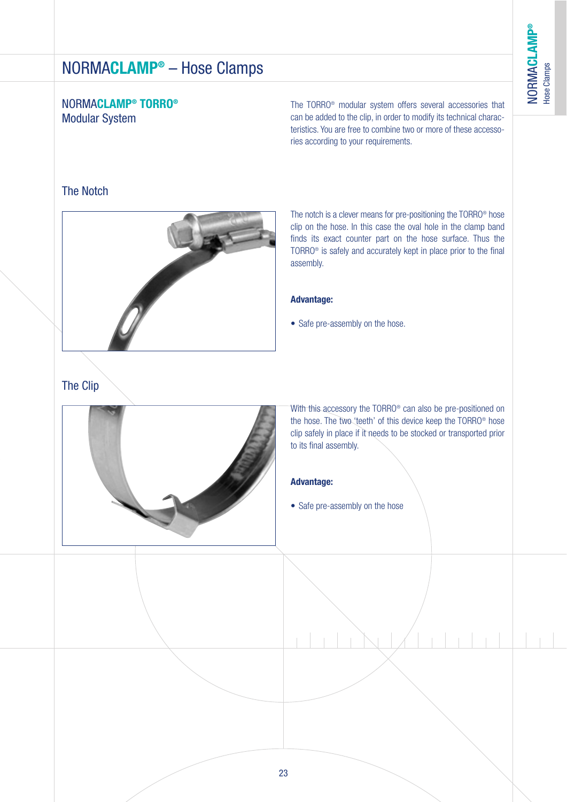### NORMA**CLAMP® TORRO®** Modular System

The TORRO® modular system offers several accessories that can be added to the clip, in order to modify its technical characteristics. You are free to combine two or more of these accessories according to your requirements.

### The Notch



The notch is a clever means for pre-positioning the TORRO® hose clip on the hose. In this case the oval hole in the clamp band finds its exact counter part on the hose surface. Thus the TORRO® is safely and accurately kept in place prior to the final assembly.

#### **Advantage:**

• Safe pre-assembly on the hose.

# The Clip



With this accessory the TORRO® can also be pre-positioned on the hose. The two 'teeth' of this device keep the TORRO® hose clip safely in place if it needs to be stocked or transported prior to its final assembly.

#### **Advantage:**

• Safe pre-assembly on the hose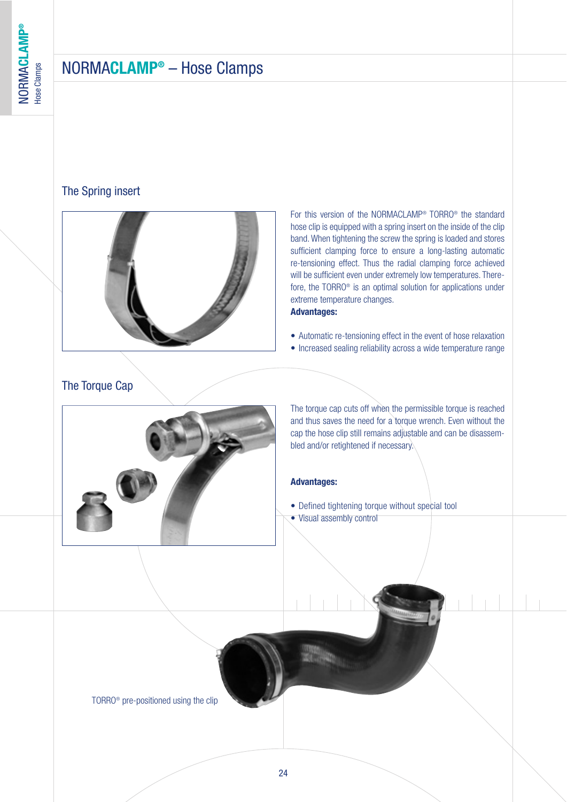#### The Spring insert



For this version of the NORMACLAMP® TORRO® the standard hose clip is equipped with a spring insert on the inside of the clip band. When tightening the screw the spring is loaded and stores sufficient clamping force to ensure a long-lasting automatic re-tensioning effect. Thus the radial clamping force achieved will be sufficient even under extremely low temperatures. Therefore, the TORRO® is an optimal solution for applications under extreme temperature changes.

#### **Advantages:**

- Automatic re-tensioning effect in the event of hose relaxation
- Increased sealing reliability across a wide temperature range

### The Torque Cap



The torque cap cuts off when the permissible torque is reached and thus saves the need for a torque wrench. Even without the cap the hose clip still remains adjustable and can be disassembled and/or retightened if necessary.

#### **Advantages:**

• Defined tightening torque without special tool • Visual assembly control

TORRO® pre-positioned using the clip